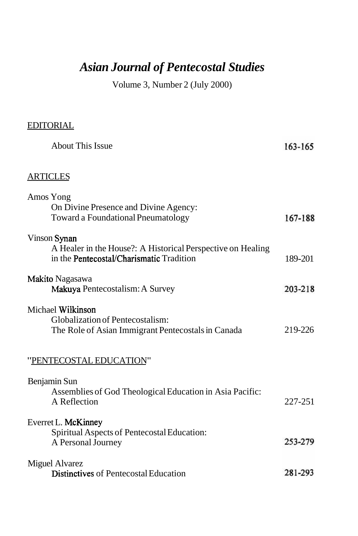## *Asian Journal of Pentecostal Studies*

Volume 3, Number 2 (July 2000)

| <b>EDITORIAL</b>                                                                                                        |         |
|-------------------------------------------------------------------------------------------------------------------------|---------|
| <b>About This Issue</b>                                                                                                 | 163-165 |
| <b>ARTICLES</b>                                                                                                         |         |
| Amos Yong<br>On Divine Presence and Divine Agency:<br>Toward a Foundational Pneumatology                                | 167-188 |
| Vinson Synan<br>A Healer in the House?: A Historical Perspective on Healing<br>in the Pentecostal/Charismatic Tradition | 189-201 |
| Makito Nagasawa<br>Makuya Pentecostalism: A Survey                                                                      | 203-218 |
| Michael Wilkinson<br>Globalization of Pentecostalism:<br>The Role of Asian Immigrant Pentecostals in Canada             | 219-226 |
| "PENTECOSTAL EDUCATION"                                                                                                 |         |
| Benjamin Sun<br>Assemblies of God Theological Education in Asia Pacific:<br>A Reflection                                | 227-251 |
| Everret L. McKinney<br>Spiritual Aspects of Pentecostal Education:<br>A Personal Journey                                | 253-279 |
| <b>Miguel Alvarez</b><br><b>Distinctives</b> of Pentecostal Education                                                   | 281-293 |